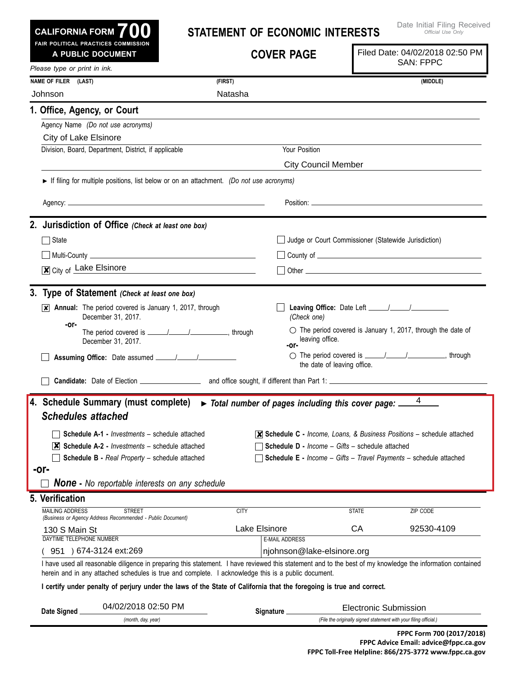**Leaving Office:** Date Left / / *(Check one)*  $\circ$  The period covered is January 1, 2017, through the date of leaving office.  $\bigcirc$  The period covered is  $\frac{1}{\frac{1}{2}}$  /  $\frac{1}{\frac{1}{2}}$ , through the date of leaving office. **X** Annual: The period covered is January 1, 2017, through December 31, 2017. The period covered is / / , through December 31, 2017. **Statement of Economic Interests Cover Page FPPC Form 700 (2017/2018)** I have used all reasonable diligence in preparing this statement. I have reviewed this statement and to the best of my knowledge the information contained herein and in any attached schedules is true and complete. I acknowledge this is a public document. I certify under penalty of perjury under the laws of the State of California that the foregoing is true and correct. **Date Signed** *(month, day, year)* **3. Type of Statement** *(Check at least one box)* State State Judge or Court Commissioner (Statewide Jurisdiction)  $\Box$  Multi-County  $\Box$  $\overline{\mathbf{x}}$  City of Lake Elsinore  $\Box$  Other **2. Jurisdiction of Office** *(Check at least one box)* **Candidate:** Date of Election **Candidate:** Date of Election **Accord Accord 2014** and office sought, if different than Part 1: **Assuming Office:** Date assumed \_\_\_\_\_/\_\_\_\_\_/\_\_\_\_ *Official Use Only Please type or print in ink.* **700 Fair Political Practices Commission CALIFORNIA FORM** Agency Name *(Do not use acronyms)* Division, Board, Department, District, if applicable Vour Position **1. Office, Agency, or Court Name of FileR (Last) (First) (Middle)** MAILING ADDRESS STREET CITY STATE ZIP CO  $(951) 674-3124 ext:269$ DAYTIME TELEPHONE NUMBER **E-MAIL ADDRESS** *(Business or Agency Address Recommended - Public Document)* **Signature** *(File the originally signed statement with your filing official.)* **5. Verification A Public Document** ► If filing for multiple positions, list below or on an attachment. *(Do not use acronyms)* Agency: Position: **-or- -or-** *None* **-** *No reportable interests on any schedule* **4. Schedule Summary (must complete)** ► *Total number of pages including this cover page: Schedules attached*  **Schedule A-1 -** *Investments* – schedule attached **Schedule A-2 -** *Investments* – schedule attached ✘ **Schedule B -** *Real Property* – schedule attached **-or- Schedule C -** *Income, Loans, & Business Positions* – schedule attached ✘ **Schedule D -** *Income – Gifts* – schedule attached **Schedule E -** *Income – Gifts – Travel Payments* – schedule attached Johnson Natasha City of Lake Elsinore City Council Member 4 130 S Main St **Lake Elsinore** CA 32530-4109 |njohnson@lake-elsinore.org 04/02/2018 02:50 PM ✘ Electronic Submission Filed Date: 04/02/2018 02:50 PM SAN: FPPC

Date Initial Filing Received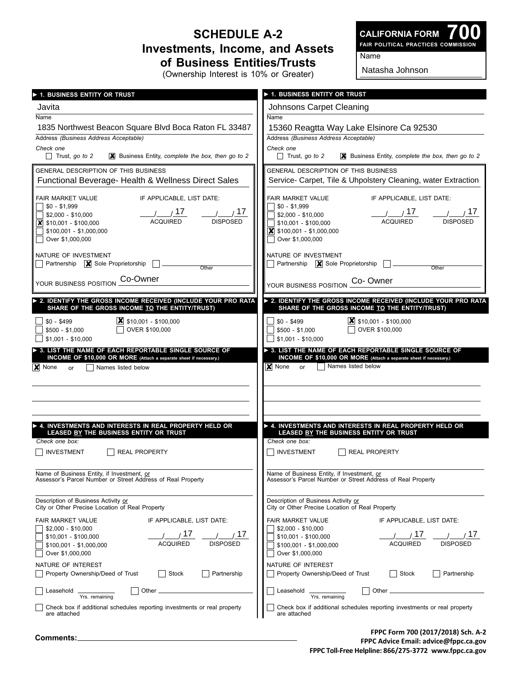## **Schedule A-2 Investments, Income, and Assets of Business Entities/Trusts** (Ownership Interest is 10% or Greater)

**700 Fair Political Practices Commission CALIFORNIA FORM**

Name

Natasha Johnson

| 1. BUSINESS ENTITY OR TRUST                                                                                         | ▶ 1. BUSINESS ENTITY OR TRUST                                                                                        |  |  |
|---------------------------------------------------------------------------------------------------------------------|----------------------------------------------------------------------------------------------------------------------|--|--|
| Javita                                                                                                              | Johnsons Carpet Cleaning                                                                                             |  |  |
| Name                                                                                                                | Name                                                                                                                 |  |  |
| 1835 Northwest Beacon Square Blvd Boca Raton FL 33487<br>Address (Business Address Acceptable)                      | 15360 Reagtta Way Lake Elsinore Ca 92530                                                                             |  |  |
| Check one                                                                                                           | Address (Business Address Acceptable)<br>Check one                                                                   |  |  |
| Trust, go to 2                                                                                                      | Trust, go to 2                                                                                                       |  |  |
| <b>X</b> Business Entity, complete the box, then go to 2                                                            | <b>X</b> Business Entity, complete the box, then go to 2                                                             |  |  |
| GENERAL DESCRIPTION OF THIS BUSINESS                                                                                | GENERAL DESCRIPTION OF THIS BUSINESS                                                                                 |  |  |
| Functional Beverage- Health & Wellness Direct Sales                                                                 | Service- Carpet, Tile & Uhpolstery Cleaning, water Extraction                                                        |  |  |
| IF APPLICABLE, LIST DATE:                                                                                           | IF APPLICABLE, LIST DATE:                                                                                            |  |  |
| FAIR MARKET VALUE                                                                                                   | FAIR MARKET VALUE                                                                                                    |  |  |
| $$0 - $1,999$                                                                                                       | $\frac{1}{20}$ - \$1,999                                                                                             |  |  |
| $\frac{1}{\text{ACQUIRED}}$ $\frac{17}{\text{DISPOSED}}$                                                            | <u>/ / 17 / / 17 / 17</u><br>ACQUIRED DISPOSED                                                                       |  |  |
| \$2,000 - \$10,000                                                                                                  | $\sqrt{$}$ \$2,000 - \$10,000                                                                                        |  |  |
| $\vert$ \$10,001 - \$100,000                                                                                        | \$10,001 - \$100,000                                                                                                 |  |  |
| \$100,001 - \$1,000,000                                                                                             | $\vert$ \$100,001 - \$1,000,000                                                                                      |  |  |
| Over \$1,000,000                                                                                                    | ◯ Over \$1,000,000                                                                                                   |  |  |
| NATURE OF INVESTMENT                                                                                                | NATURE OF INVESTMENT                                                                                                 |  |  |
| Partnership $\boxed{\mathbf{X}}$ Sole Proprietorship                                                                | Partnership $\boxed{\mathbf{X}}$ Sole Proprietorship $\boxed{\phantom{1}}$                                           |  |  |
| Other                                                                                                               | Other                                                                                                                |  |  |
| YOUR BUSINESS POSITION CO-OWNER                                                                                     | YOUR BUSINESS POSITION Co- Owner                                                                                     |  |  |
| 2. IDENTIFY THE GROSS INCOME RECEIVED (INCLUDE YOUR PRO RATA                                                        | > 2. IDENTIFY THE GROSS INCOME RECEIVED (INCLUDE YOUR PRO RATA                                                       |  |  |
| SHARE OF THE GROSS INCOME TO THE ENTITY/TRUST)                                                                      | SHARE OF THE GROSS INCOME TO THE ENTITY/TRUST)                                                                       |  |  |
| $X$ \$10,001 - \$100,000                                                                                            | $\vert$ \$10,001 - \$100,000                                                                                         |  |  |
| $$0 - $499$                                                                                                         | $$0 - $499$                                                                                                          |  |  |
| OVER \$100,000                                                                                                      | OVER \$100,000                                                                                                       |  |  |
| $$500 - $1,000$                                                                                                     | \$500 - \$1,000                                                                                                      |  |  |
| $$1,001 - $10,000$                                                                                                  | $$1,001 - $10,000$                                                                                                   |  |  |
| INCOME OF \$10,000 OR MORE (Attach a separate sheet if necessary.)<br><b>X</b> None<br>    Names listed below<br>or | INCOME OF \$10,000 OR MORE (Attach a separate sheet if necessary.)<br>$\mathsf{X}$ None<br>or     Names listed below |  |  |
| 4. INVESTMENTS AND INTERESTS IN REAL PROPERTY HELD OR                                                               | ▶ 4. INVESTMENTS AND INTERESTS IN REAL PROPERTY HELD OR                                                              |  |  |
| LEASED BY THE BUSINESS ENTITY OR TRUST                                                                              | LEASED BY THE BUSINESS ENTITY OR TRUST                                                                               |  |  |
| Check one box:                                                                                                      | Check one box:                                                                                                       |  |  |
| <b>INVESTMENT</b>                                                                                                   | INVESTMENT                                                                                                           |  |  |
| <b>REAL PROPERTY</b>                                                                                                | <b>REAL PROPERTY</b>                                                                                                 |  |  |
| Name of Business Entity, if Investment, or                                                                          | Name of Business Entity, if Investment, or                                                                           |  |  |
| Assessor's Parcel Number or Street Address of Real Property                                                         | Assessor's Parcel Number or Street Address of Real Property                                                          |  |  |
| Description of Business Activity or                                                                                 | Description of Business Activity or                                                                                  |  |  |
| City or Other Precise Location of Real Property                                                                     | City or Other Precise Location of Real Property                                                                      |  |  |
| FAIR MARKET VALUE                                                                                                   | FAIR MARKET VALUE                                                                                                    |  |  |
| IF APPLICABLE, LIST DATE:                                                                                           | IF APPLICABLE, LIST DATE:                                                                                            |  |  |
| $$2,000 - $10,000$                                                                                                  | $$2.000 - $10.000$                                                                                                   |  |  |
| 17                                                                                                                  | 11 <sup>1</sup>                                                                                                      |  |  |
| , 17                                                                                                                | 11 <sup>1</sup>                                                                                                      |  |  |
| \$10,001 - \$100,000                                                                                                | \$10,001 - \$100,000                                                                                                 |  |  |
| <b>ACQUIRED</b>                                                                                                     | ACQUIRED                                                                                                             |  |  |
| <b>DISPOSED</b>                                                                                                     | <b>DISPOSED</b>                                                                                                      |  |  |
| $$100,001 - $1,000,000$                                                                                             | $$100,001 - $1,000,000$                                                                                              |  |  |
| Over \$1,000,000                                                                                                    | Over \$1,000,000                                                                                                     |  |  |
| NATURE OF INTEREST                                                                                                  | NATURE OF INTEREST                                                                                                   |  |  |
| Property Ownership/Deed of Trust                                                                                    | Property Ownership/Deed of Trust                                                                                     |  |  |
| Partnership                                                                                                         | Partnership                                                                                                          |  |  |
| Stock                                                                                                               | Stock                                                                                                                |  |  |
| Other                                                                                                               | Other.                                                                                                               |  |  |
| Leasehold                                                                                                           | Leasehold                                                                                                            |  |  |
| Yrs. remaining                                                                                                      | Yrs. remaining                                                                                                       |  |  |
| Check box if additional schedules reporting investments or real property                                            | Check box if additional schedules reporting investments or real property                                             |  |  |
| are attached                                                                                                        | are attached                                                                                                         |  |  |

**FPPC Form 700 (2017/2018) Sch. A-2 FPPC Advice Email: advice@fppc.ca.gov FPPC Toll-Free Helpline: 866/275-3772 www.fppc.ca.gov**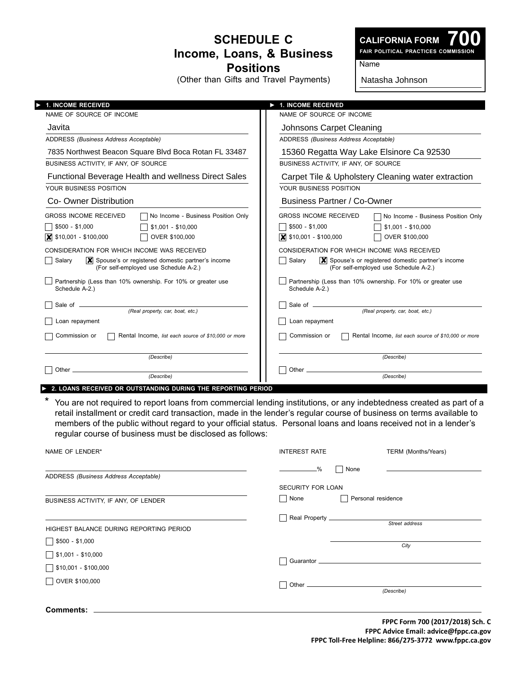## **Schedule C Income, Loans, & Business Positions**

(Other than Gifts and Travel Payments)

**700 Fair Political Practices Commission**

Name

Natasha Johnson

| <b>1. INCOME RECEIVED</b>                                                                                          | <b>1. INCOME RECEIVED</b><br>V                                                                                     |  |  |
|--------------------------------------------------------------------------------------------------------------------|--------------------------------------------------------------------------------------------------------------------|--|--|
| NAME OF SOURCE OF INCOME                                                                                           | NAME OF SOURCE OF INCOME                                                                                           |  |  |
| Javita                                                                                                             | Johnsons Carpet Cleaning                                                                                           |  |  |
| ADDRESS (Business Address Acceptable)                                                                              | ADDRESS (Business Address Acceptable)                                                                              |  |  |
| 7835 Northwest Beacon Square Blvd Boca Rotan FL 33487                                                              | 15360 Regatta Way Lake Elsinore Ca 92530                                                                           |  |  |
| BUSINESS ACTIVITY, IF ANY, OF SOURCE                                                                               | BUSINESS ACTIVITY. IF ANY. OF SOURCE                                                                               |  |  |
| Functional Beverage Health and wellness Direct Sales                                                               | Carpet Tile & Upholstery Cleaning water extraction                                                                 |  |  |
| YOUR BUSINESS POSITION                                                                                             | YOUR BUSINESS POSITION                                                                                             |  |  |
| Co- Owner Distribution                                                                                             | <b>Business Partner / Co-Owner</b>                                                                                 |  |  |
| No Income - Business Position Only<br><b>GROSS INCOME RECEIVED</b>                                                 | <b>GROSS INCOME RECEIVED</b><br>No Income - Business Position Only                                                 |  |  |
| $$500 - $1,000$<br>$$1,001 - $10,000$                                                                              | $$500 - $1,000$<br>$$1,001 - $10,000$                                                                              |  |  |
| $\bar{x}$ \$10,001 - \$100,000<br>OVER \$100,000                                                                   | $\bar{\mathbf{x}}$ \$10,001 - \$100,000<br>OVER \$100,000                                                          |  |  |
| CONSIDERATION FOR WHICH INCOME WAS RECEIVED                                                                        | CONSIDERATION FOR WHICH INCOME WAS RECEIVED                                                                        |  |  |
| Salary<br>$ \mathbf{X} $ Spouse's or registered domestic partner's income<br>(For self-employed use Schedule A-2.) | $ \mathbf{X} $ Spouse's or registered domestic partner's income<br>Salary<br>(For self-employed use Schedule A-2.) |  |  |
| Partnership (Less than 10% ownership. For 10% or greater use<br>Schedule A-2.)                                     | Partnership (Less than 10% ownership. For 10% or greater use<br>Schedule A-2.)                                     |  |  |
|                                                                                                                    |                                                                                                                    |  |  |
| (Real property, car, boat, etc.)                                                                                   | (Real property, car, boat, etc.)                                                                                   |  |  |
| Loan repayment                                                                                                     | Loan repayment                                                                                                     |  |  |
| Commission or<br>Rental Income, list each source of \$10,000 or more                                               | Commission or<br>Rental Income, list each source of \$10,000 or more                                               |  |  |
| (Describe)                                                                                                         | (Describe)                                                                                                         |  |  |
| Other_                                                                                                             | Other $\_\_$                                                                                                       |  |  |
| (Describe)                                                                                                         | (Describe)                                                                                                         |  |  |

You are not required to report loans from commercial lending institutions, or any indebtedness created as part of a retail installment or credit card transaction, made in the lender's regular course of business on terms available to members of the public without regard to your official status. Personal loans and loans received not in a lender's regular course of business must be disclosed as follows:

| NAME OF LENDER*                            | <b>INTEREST RATE</b>                                                                                                                                                                                                                               | TERM (Months/Years) |
|--------------------------------------------|----------------------------------------------------------------------------------------------------------------------------------------------------------------------------------------------------------------------------------------------------|---------------------|
| ADDRESS (Business Address Acceptable)      | -%<br>None<br><u>and the company of the company of the company of the company of the company of the company of the company of the company of the company of the company of the company of the company of the company of the company of the com</u> |                     |
| BUSINESS ACTIVITY, IF ANY, OF LENDER       | <b>SECURITY FOR LOAN</b><br>  None                                                                                                                                                                                                                 | Personal residence  |
| HIGHEST BALANCE DURING REPORTING PERIOD    |                                                                                                                                                                                                                                                    | Street address      |
| $$500 - $1,000$                            |                                                                                                                                                                                                                                                    | City                |
| $$1,001 - $10,000$<br>\$10,001 - \$100,000 | $\Box$                                                                                                                                                                                                                                             |                     |
| OVER \$100,000                             | $\Box$                                                                                                                                                                                                                                             | (Describe)          |
| <b>Comments:</b>                           |                                                                                                                                                                                                                                                    |                     |

**FPPC Form 700 (2017/2018) Sch. C FPPC Advice Email: advice@fppc.ca.gov FPPC Toll-Free Helpline: 866/275-3772 www.fppc.ca.gov**